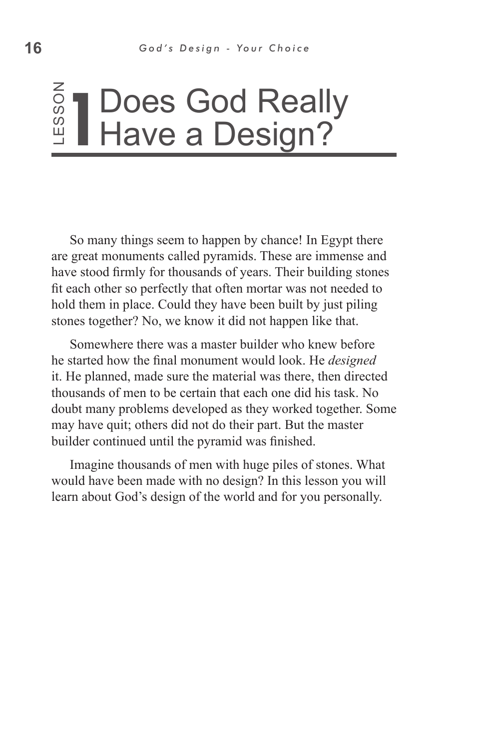#### ss o Z 1 Does God Really<br>
Have a Design? Have a Design?

So many things seem to happen by chance! In Egypt there are great monuments called pyramids. These are immense and have stood firmly for thousands of years. Their building stones fit each other so perfectly that often mortar was not needed to hold them in place. Could they have been built by just piling stones together? No, we know it did not happen like that.

Somewhere there was a master builder who knew before he started how the final monument would look. He *designed* it. He planned, made sure the material was there, then directed thousands of men to be certain that each one did his task. No doubt many problems developed as they worked together. Some may have quit; others did not do their part. But the master builder continued until the pyramid was finished. learn about God's design of the world and for you personally. Le

Imagine thousands of men with huge piles of stones. What would have been made with no design? In this lesson you will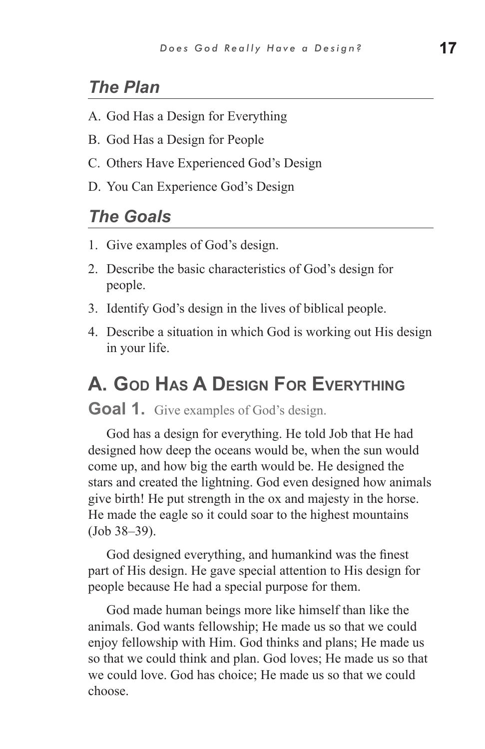### *The Plan*

- A. God Has a Design for Everything
- B. God Has a Design for People
- C. Others Have Experienced God's Design
- D. You Can Experience God's Design

#### *The Goals*

- 1. Give examples of God's design.
- 2. Describe the basic characteristics of God's design for people.
- 3. Identify God's design in the lives of biblical people.
- 4. Describe a situation in which God is working out His design in your life.

# **A. God Has A Design For Everything**

**Goal 1.** Give examples of God's design.

God has a design for everything. He told Job that He had designed how deep the oceans would be, when the sun would come up, and how big the earth would be. He designed the stars and created the lightning. God even designed how animals give birth! He put strength in the ox and majesty in the horse. He made the eagle so it could soar to the highest mountains (Job 38–39).

God designed everything, and humankind was the finest part of His design. He gave special attention to His design for people because He had a special purpose for them.

God made human beings more like himself than like the animals. God wants fellowship; He made us so that we could enjoy fellowship with Him. God thinks and plans; He made us so that we could think and plan. God loves; He made us so that we could love. God has choice; He made us so that we could choose.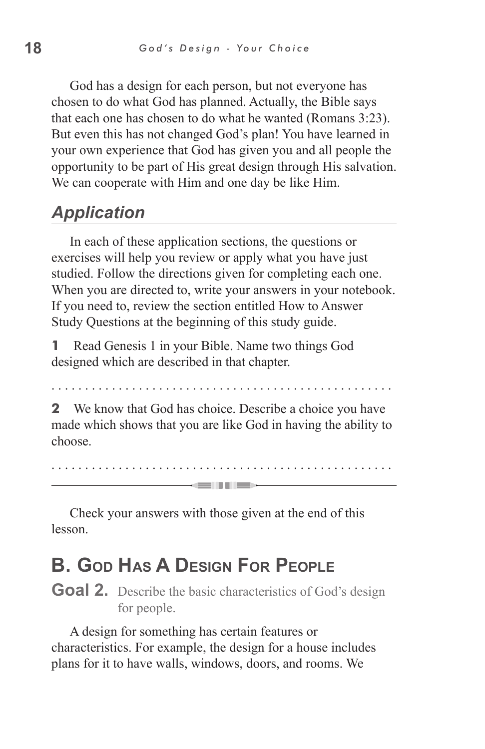God has a design for each person, but not everyone has chosen to do what God has planned. Actually, the Bible says that each one has chosen to do what he wanted (Romans 3:23). But even this has not changed God's plan! You have learned in your own experience that God has given you and all people the opportunity to be part of His great design through His salvation. We can cooperate with Him and one day be like Him.

## *Application*

In each of these application sections, the questions or exercises will help you review or apply what you have just studied. Follow the directions given for completing each one. When you are directed to, write your answers in your notebook. If you need to, review the section entitled How to Answer Study Questions at the beginning of this study guide.

**1** Read Genesis 1 in your Bible. Name two things God designed which are described in that chapter.

. . . . . . . . . . . . . . . . . . . . . . . . . . . . . . . . . . . . . . . . . . . . . . . . . . .

**2** We know that God has choice. Describe a choice you have made which shows that you are like God in having the ability to choose.

. . . . . . . . . . . . . . . . . . . . . . . . . . . . . . . . . . . . . . . . . . . . . . . . . . . **GENERAL** 

Check your answers with those given at the end of this lesson.

# **B. God Has A Design For People**

**Goal 2.** Describe the basic characteristics of God's design for people.

A design for something has certain features or characteristics. For example, the design for a house includes plans for it to have walls, windows, doors, and rooms. We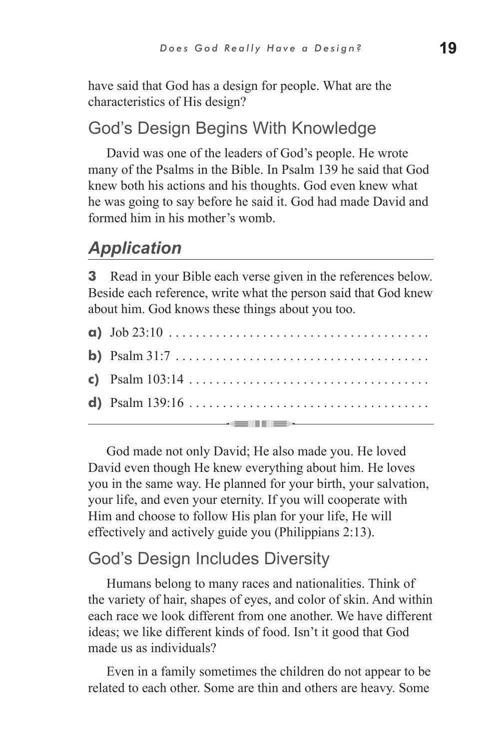have said that God has a design for people. What are the characteristics of His design?

### God's Design Begins With Knowledge

David was one of the leaders of God's people. He wrote many of the Psalms in the Bible. In Psalm 139 he said that God knew both his actions and his thoughts. God even knew what he was going to say before he said it. God had made David and formed him in his mother's womb.

## *Application*

**3** Read in your Bible each verse given in the references below. Beside each reference, write what the person said that God knew about him. God knows these things about you too.

| <b>a</b> ) $\text{Job } 23:10 \ldots \ldots \ldots \ldots \ldots \ldots \ldots \ldots \ldots \ldots$ |
|------------------------------------------------------------------------------------------------------|
|                                                                                                      |
|                                                                                                      |
|                                                                                                      |
|                                                                                                      |

God made not only David; He also made you. He loved David even though He knew everything about him. He loves you in the same way. He planned for your birth, your salvation, your life, and even your eternity. If you will cooperate with Him and choose to follow His plan for your life, He will effectively and actively guide you (Philippians 2:13).

#### God's Design Includes Diversity

Humans belong to many races and nationalities. Think of the variety of hair, shapes of eyes, and color of skin. And within each race we look different from one another. We have different ideas; we like different kinds of food. Isn't it good that God made us as individuals?

Even in a family sometimes the children do not appear to be related to each other. Some are thin and others are heavy. Some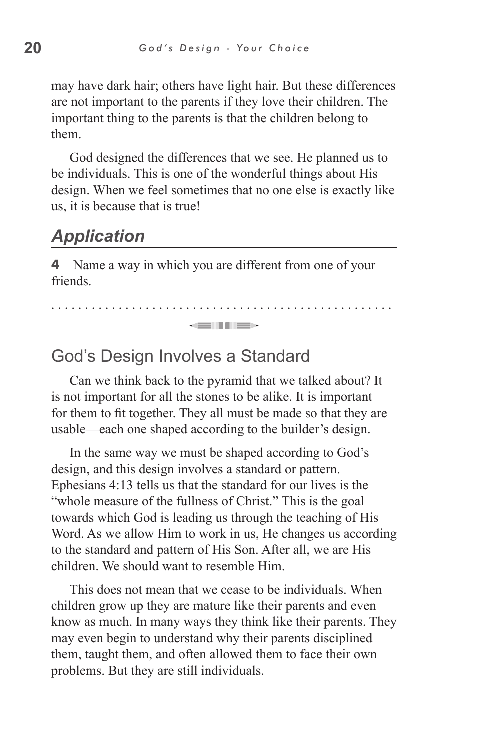may have dark hair; others have light hair. But these differences are not important to the parents if they love their children. The important thing to the parents is that the children belong to them.

God designed the differences that we see. He planned us to be individuals. This is one of the wonderful things about His design. When we feel sometimes that no one else is exactly like us, it is because that is true!

## *Application*

**4** Name a way in which you are different from one of your **friends** 

. . . . . . . . . . . . . . . . . . . . . . . . . . . . . . . . . . . . . . . . . . . . . . . . . . . an Time

#### God's Design Involves a Standard

Can we think back to the pyramid that we talked about? It is not important for all the stones to be alike. It is important for them to fit together. They all must be made so that they are usable—each one shaped according to the builder's design.

In the same way we must be shaped according to God's design, and this design involves a standard or pattern. Ephesians 4:13 tells us that the standard for our lives is the "whole measure of the fullness of Christ." This is the goal towards which God is leading us through the teaching of His Word. As we allow Him to work in us, He changes us according to the standard and pattern of His Son. After all, we are His children. We should want to resemble Him.

This does not mean that we cease to be individuals. When children grow up they are mature like their parents and even know as much. In many ways they think like their parents. They may even begin to understand why their parents disciplined them, taught them, and often allowed them to face their own problems. But they are still individuals.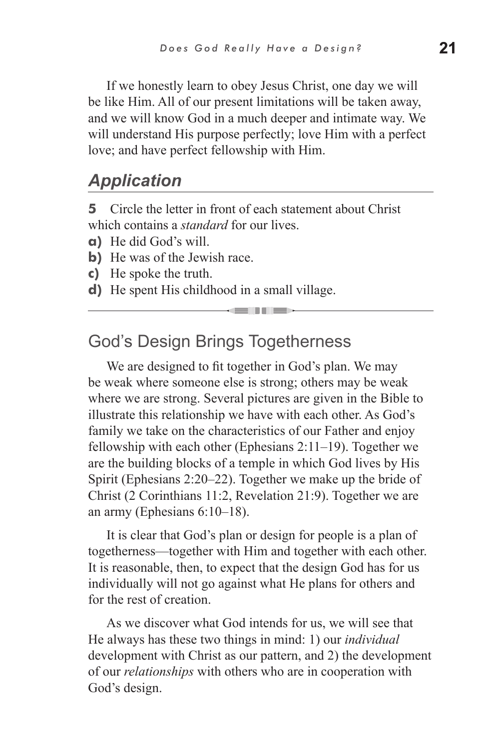If we honestly learn to obey Jesus Christ, one day we will be like Him. All of our present limitations will be taken away, and we will know God in a much deeper and intimate way. We will understand His purpose perfectly; love Him with a perfect love; and have perfect fellowship with Him.

#### *Application*

**5** Circle the letter in front of each statement about Christ which contains a *standard* for our lives.

- **a)** He did God's will.
- **b**) He was of the Jewish race.
- **c)** He spoke the truth.
- **d)** He spent His childhood in a small village.

#### God's Design Brings Togetherness

We are designed to fit together in God's plan. We may be weak where someone else is strong; others may be weak where we are strong. Several pictures are given in the Bible to illustrate this relationship we have with each other. As God's family we take on the characteristics of our Father and enjoy fellowship with each other (Ephesians 2:11–19). Together we are the building blocks of a temple in which God lives by His Spirit (Ephesians 2:20–22). Together we make up the bride of Christ (2 Corinthians 11:2, Revelation 21:9). Together we are an army (Ephesians 6:10–18).

an Tim

It is clear that God's plan or design for people is a plan of togetherness—together with Him and together with each other. It is reasonable, then, to expect that the design God has for us individually will not go against what He plans for others and for the rest of creation.

As we discover what God intends for us, we will see that He always has these two things in mind: 1) our *individual* development with Christ as our pattern, and 2) the development of our *relationships* with others who are in cooperation with God's design.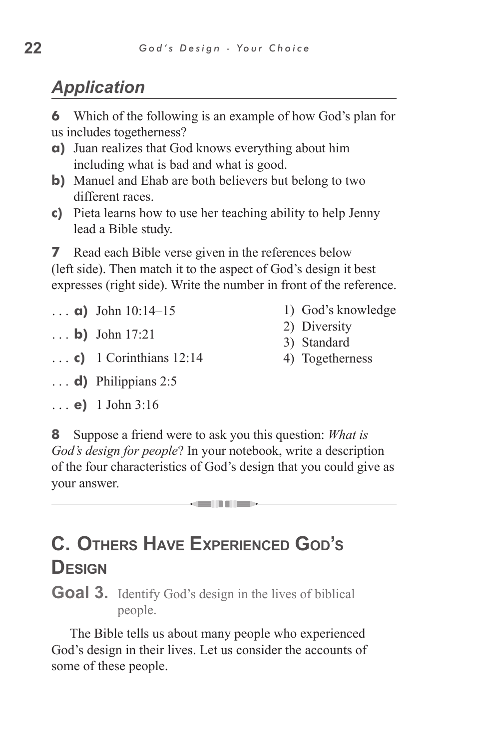## *Application*

**6** Which of the following is an example of how God's plan for us includes togetherness?

- **a)** Juan realizes that God knows everything about him including what is bad and what is good.
- **b**) Manuel and Ehab are both believers but belong to two different races.
- **c)** Pieta learns how to use her teaching ability to help Jenny lead a Bible study.

**7** Read each Bible verse given in the references below (left side). Then match it to the aspect of God's design it best expresses (right side). Write the number in front of the reference.

- **a)** John 10:14–15
- **b)** John 17:21
- **c)** 1 Corinthians 12:14
- 1) God's knowledge
- 2) Diversity
- 3) Standard
- 4) Togetherness

- **d)** Philippians 2:5
- **e)** 1 John 3:16

**8** Suppose a friend were to ask you this question: *What is God's design for people*? In your notebook, write a description of the four characteristics of God's design that you could give as your answer.

= 11 =>

# **C. Others Have Experienced God's Design**

Goal 3. Identify God's design in the lives of biblical people.

The Bible tells us about many people who experienced God's design in their lives. Let us consider the accounts of some of these people.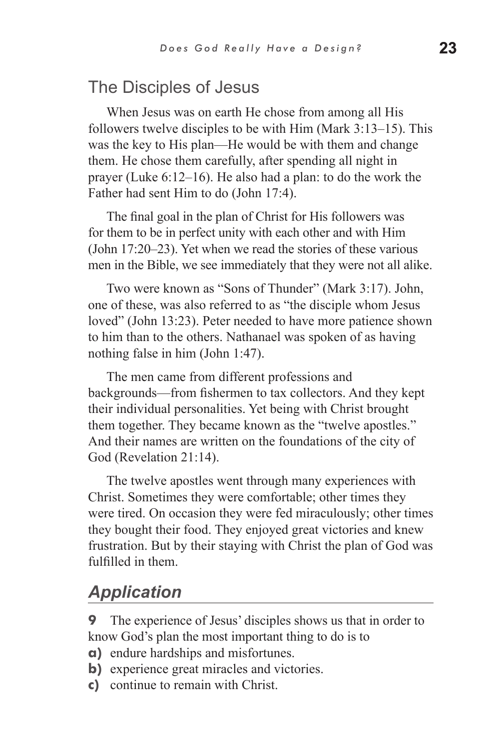#### The Disciples of Jesus

When Jesus was on earth He chose from among all His followers twelve disciples to be with Him (Mark 3:13–15). This was the key to His plan—He would be with them and change them. He chose them carefully, after spending all night in prayer (Luke 6:12–16). He also had a plan: to do the work the Father had sent Him to do (John 17:4).

The final goal in the plan of Christ for His followers was for them to be in perfect unity with each other and with Him (John 17:20–23). Yet when we read the stories of these various men in the Bible, we see immediately that they were not all alike.

Two were known as "Sons of Thunder" (Mark 3:17). John, one of these, was also referred to as "the disciple whom Jesus loved" (John 13:23). Peter needed to have more patience shown to him than to the others. Nathanael was spoken of as having nothing false in him (John 1:47).

The men came from different professions and backgrounds—from fishermen to tax collectors. And they kept their individual personalities. Yet being with Christ brought them together. They became known as the "twelve apostles." And their names are written on the foundations of the city of God (Revelation 21:14).

The twelve apostles went through many experiences with Christ. Sometimes they were comfortable; other times they were tired. On occasion they were fed miraculously; other times they bought their food. They enjoyed great victories and knew frustration. But by their staying with Christ the plan of God was fulfilled in them.

### *Application*

**9** The experience of Jesus' disciples shows us that in order to know God's plan the most important thing to do is to

- **a)** endure hardships and misfortunes.
- **b**) experience great miracles and victories.
- **c)** continue to remain with Christ.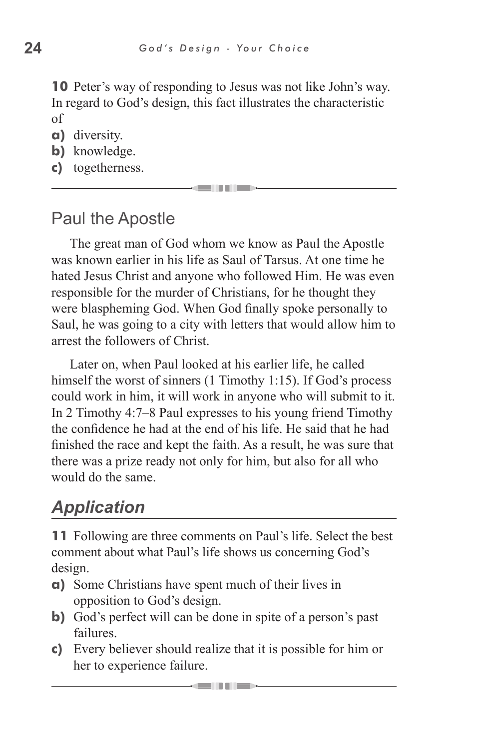**10** Peter's way of responding to Jesus was not like John's way. In regard to God's design, this fact illustrates the characteristic of

- **a)** diversity.
- **b)** knowledge.
- **c)** togetherness.

## Paul the Apostle

The great man of God whom we know as Paul the Apostle was known earlier in his life as Saul of Tarsus. At one time he hated Jesus Christ and anyone who followed Him. He was even responsible for the murder of Christians, for he thought they were blaspheming God. When God finally spoke personally to Saul, he was going to a city with letters that would allow him to arrest the followers of Christ.

Later on, when Paul looked at his earlier life, he called himself the worst of sinners (1 Timothy 1:15). If God's process could work in him, it will work in anyone who will submit to it. In 2 Timothy 4:7–8 Paul expresses to his young friend Timothy the confidence he had at the end of his life. He said that he had finished the race and kept the faith. As a result, he was sure that there was a prize ready not only for him, but also for all who would do the same.

## *Application*

**11** Following are three comments on Paul's life. Select the best comment about what Paul's life shows us concerning God's design.

- **a)** Some Christians have spent much of their lives in opposition to God's design.
- **b)** God's perfect will can be done in spite of a person's past failures.
- **c)** Every believer should realize that it is possible for him or her to experience failure.

<u> Selli III se</u>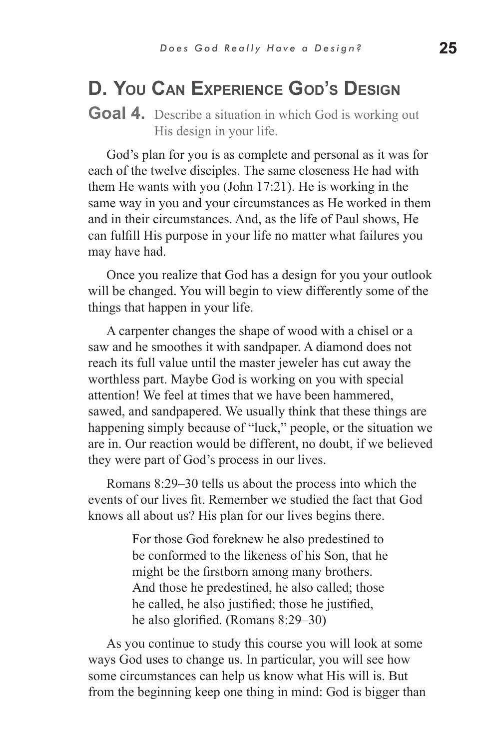## **D. You Can Experience God's Design**

#### **Goal 4.** Describe a situation in which God is working out His design in your life.

God's plan for you is as complete and personal as it was for each of the twelve disciples. The same closeness He had with them He wants with you (John 17:21). He is working in the same way in you and your circumstances as He worked in them and in their circumstances. And, as the life of Paul shows, He can fulfill His purpose in your life no matter what failures you may have had.

Once you realize that God has a design for you your outlook will be changed. You will begin to view differently some of the things that happen in your life.

A carpenter changes the shape of wood with a chisel or a saw and he smoothes it with sandpaper. A diamond does not reach its full value until the master jeweler has cut away the worthless part. Maybe God is working on you with special attention! We feel at times that we have been hammered, sawed, and sandpapered. We usually think that these things are happening simply because of "luck," people, or the situation we are in. Our reaction would be different, no doubt, if we believed they were part of God's process in our lives.

Romans 8:29–30 tells us about the process into which the events of our lives fit. Remember we studied the fact that God knows all about us? His plan for our lives begins there.

> For those God foreknew he also predestined to be conformed to the likeness of his Son, that he might be the firstborn among many brothers. And those he predestined, he also called; those he called, he also justified; those he justified, he also glorified. (Romans 8:29–30)

As you continue to study this course you will look at some ways God uses to change us. In particular, you will see how some circumstances can help us know what His will is. But from the beginning keep one thing in mind: God is bigger than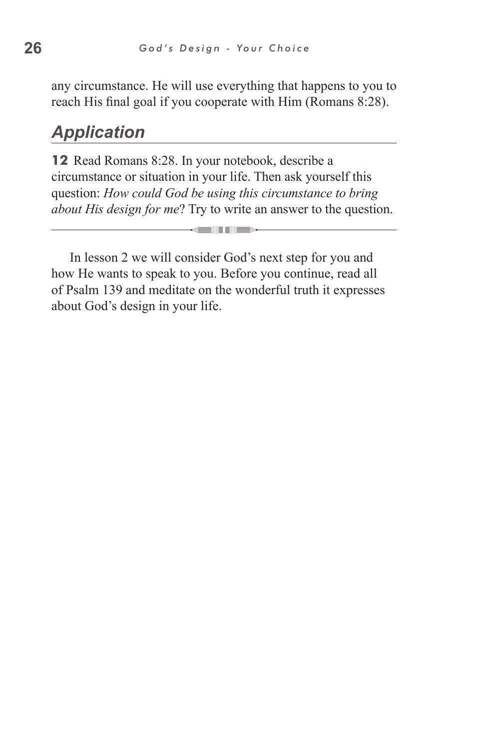any circumstance. He will use everything that happens to you to reach His final goal if you cooperate with Him (Romans 8:28).

## *Application*

**12** Read Romans 8:28. In your notebook, describe a circumstance or situation in your life. Then ask yourself this question: *How could God be using this circumstance to bring about His design for me*? Try to write an answer to the question.

In lesson 2 we will consider God's next step for you and how He wants to speak to you. Before you continue, read all of Psalm 139 and meditate on the wonderful truth it expresses about God's design in your life.

**CONTRACTOR**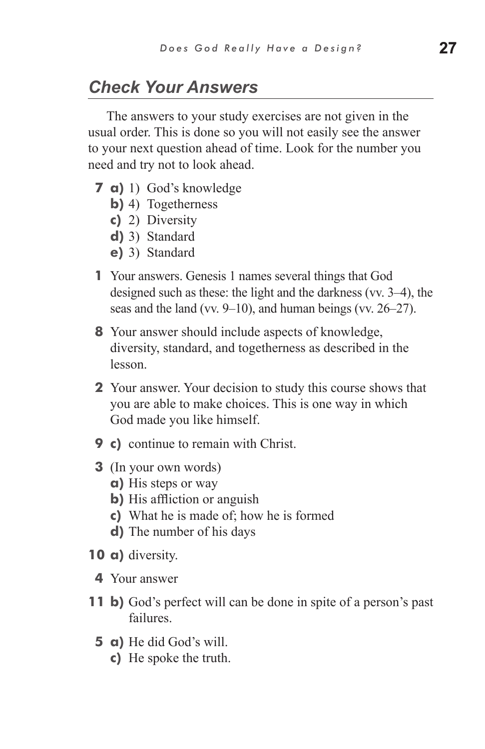## *Check Your Answers*

The answers to your study exercises are not given in the usual order. This is done so you will not easily see the answer to your next question ahead of time. Look for the number you need and try not to look ahead.

- **7 a)** 1) God's knowledge
	- **b)** 4) Togetherness
	- **c)** 2) Diversity
	- **d)** 3) Standard
	- **e)** 3) Standard
- **1** Your answers. Genesis 1 names several things that God designed such as these: the light and the darkness (vv. 3–4), the seas and the land (vv. 9–10), and human beings (vv. 26–27).
- **8** Your answer should include aspects of knowledge, diversity, standard, and togetherness as described in the lesson.
- **2** Your answer. Your decision to study this course shows that you are able to make choices. This is one way in which God made you like himself.
- **9 c)** continue to remain with Christ.
- **3** (In your own words)
	- **a)** His steps or way
	- **b)** His affliction or anguish
	- **c)** What he is made of; how he is formed
	- **d)** The number of his days
- **10 a)** diversity.
	- **4** Your answer
- **11 b)** God's perfect will can be done in spite of a person's past failures.
	- **5 a)** He did God's will.
		- **c)** He spoke the truth.